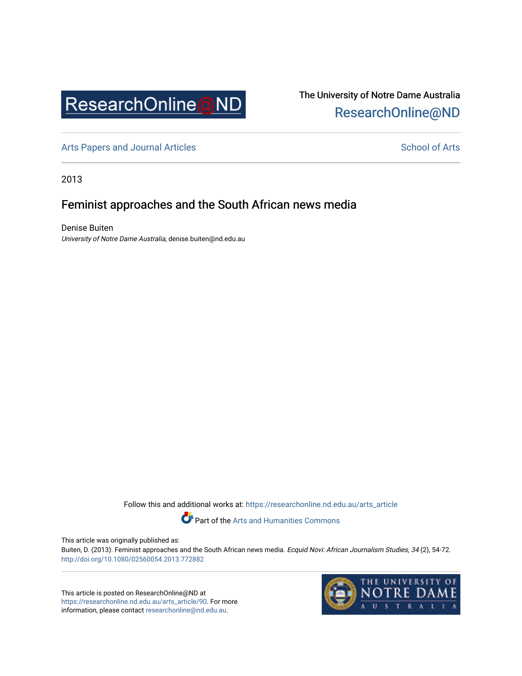

# The University of Notre Dame Australia [ResearchOnline@ND](https://researchonline.nd.edu.au/)

[Arts Papers and Journal Articles](https://researchonline.nd.edu.au/arts_article) and [School of Arts](https://researchonline.nd.edu.au/arts) School of Arts

2013

# Feminist approaches and the South African news media

Denise Buiten University of Notre Dame Australia, denise.buiten@nd.edu.au

Follow this and additional works at: [https://researchonline.nd.edu.au/arts\\_article](https://researchonline.nd.edu.au/arts_article?utm_source=researchonline.nd.edu.au%2Farts_article%2F90&utm_medium=PDF&utm_campaign=PDFCoverPages) 

Part of the [Arts and Humanities Commons](http://network.bepress.com/hgg/discipline/438?utm_source=researchonline.nd.edu.au%2Farts_article%2F90&utm_medium=PDF&utm_campaign=PDFCoverPages) 

This article was originally published as:

Buiten, D. (2013). Feminist approaches and the South African news media. Ecquid Novi: African Journalism Studies, 34 (2), 54-72. <http://doi.org/10.1080/02560054.2013.772882>

This article is posted on ResearchOnline@ND at [https://researchonline.nd.edu.au/arts\\_article/90.](https://researchonline.nd.edu.au/arts_article/90) For more information, please contact [researchonline@nd.edu.au.](mailto:researchonline@nd.edu.au)

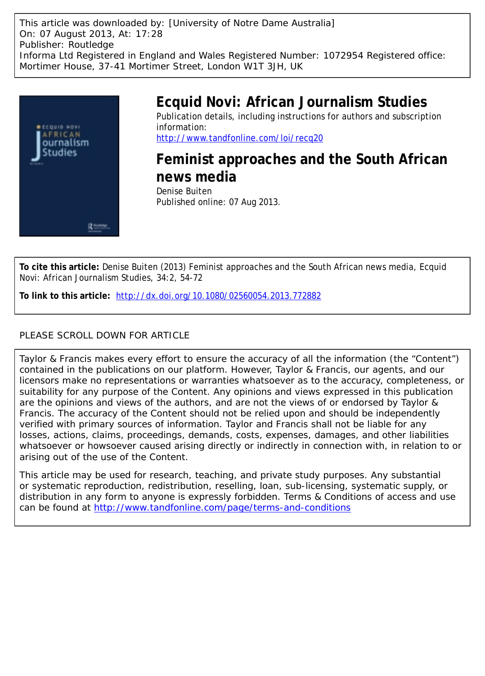This article was downloaded by: [University of Notre Dame Australia] On: 07 August 2013, At: 17:28 Publisher: Routledge Informa Ltd Registered in England and Wales Registered Number: 1072954 Registered office: Mortimer House, 37-41 Mortimer Street, London W1T 3JH, UK



# **Ecquid Novi: African Journalism Studies** Publication details, including instructions for authors and subscription information:

<http://www.tandfonline.com/loi/recq20>

**Feminist approaches and the South African news media** Denise Buiten Published online: 07 Aug 2013.

**To cite this article:** Denise Buiten (2013) Feminist approaches and the South African news media, Ecquid Novi: African Journalism Studies, 34:2, 54-72

**To link to this article:** <http://dx.doi.org/10.1080/02560054.2013.772882>

## PLEASE SCROLL DOWN FOR ARTICLE

Taylor & Francis makes every effort to ensure the accuracy of all the information (the "Content") contained in the publications on our platform. However, Taylor & Francis, our agents, and our licensors make no representations or warranties whatsoever as to the accuracy, completeness, or suitability for any purpose of the Content. Any opinions and views expressed in this publication are the opinions and views of the authors, and are not the views of or endorsed by Taylor & Francis. The accuracy of the Content should not be relied upon and should be independently verified with primary sources of information. Taylor and Francis shall not be liable for any losses, actions, claims, proceedings, demands, costs, expenses, damages, and other liabilities whatsoever or howsoever caused arising directly or indirectly in connection with, in relation to or arising out of the use of the Content.

This article may be used for research, teaching, and private study purposes. Any substantial or systematic reproduction, redistribution, reselling, loan, sub-licensing, systematic supply, or distribution in any form to anyone is expressly forbidden. Terms & Conditions of access and use can be found at <http://www.tandfonline.com/page/terms-and-conditions>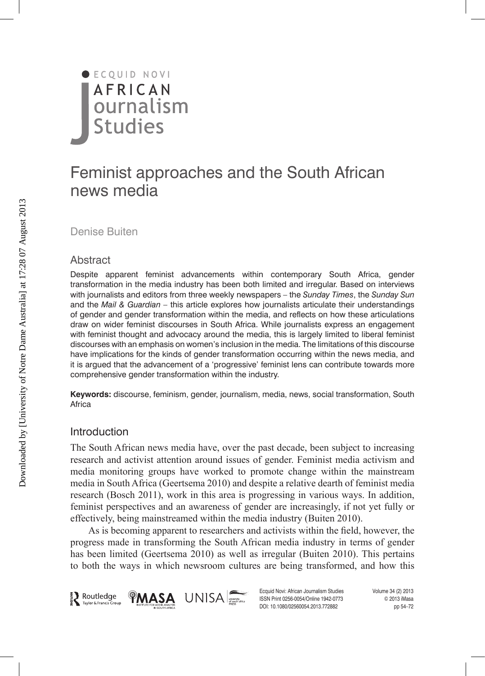

# Feminist approaches and the South African news media

Denise Buiten

#### Abstract

Despite apparent feminist advancements within contemporary South Africa, gender transformation in the media industry has been both limited and irregular. Based on interviews with journalists and editors from three weekly newspapers – the *Sunday Times*, the *Sunday Sun* and the *Mail & Guardian –* this article explores how journalists articulate their understandings of gender and gender transformation within the media, and reflects on how these articulations draw on wider feminist discourses in South Africa. While journalists express an engagement with feminist thought and advocacy around the media, this is largely limited to liberal feminist discourses with an emphasis on women's inclusion in the media. The limitations of this discourse have implications for the kinds of gender transformation occurring within the news media, and it is argued that the advancement of a 'progressive' feminist lens can contribute towards more comprehensive gender transformation within the industry.

**Keywords:** discourse, feminism, gender, journalism, media, news, social transformation, South Africa

#### Introduction

The South African news media have, over the past decade, been subject to increasing research and activist attention around issues of gender. Feminist media activism and media monitoring groups have worked to promote change within the mainstream media in South Africa (Geertsema 2010) and despite a relative dearth of feminist media research (Bosch 2011), work in this area is progressing in various ways. In addition, feminist perspectives and an awareness of gender are increasingly, if not yet fully or effectively, being mainstreamed within the media industry (Buiten 2010).

As is becoming apparent to researchers and activists within the field, however, the progress made in transforming the South African media industry in terms of gender has been limited (Geertsema 2010) as well as irregular (Buiten 2010). This pertains to both the ways in which newsroom cultures are being transformed, and how this



Ecquid Novi: African Journalism Studies Volume 34 (2) 2013 ISSN Print 0256-0054/Online 1942-0773 © 2013 iMasa DOI: 10.1080/02560054.2013.772882 pp 54–72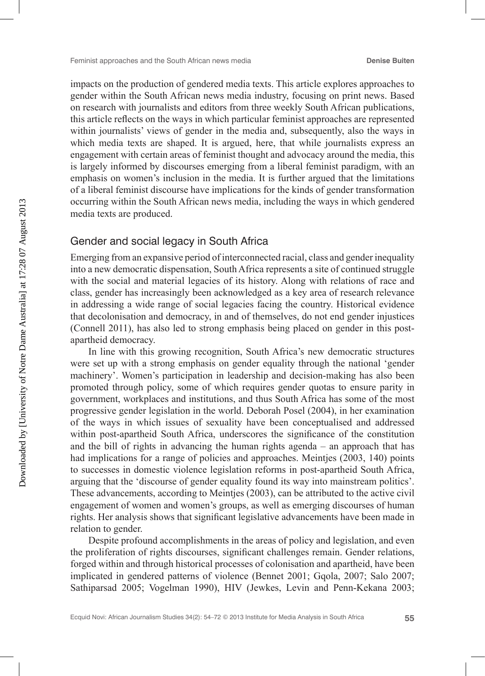impacts on the production of gendered media texts. This article explores approaches to gender within the South African news media industry, focusing on print news. Based on research with journalists and editors from three weekly South African publications, this article reflects on the ways in which particular feminist approaches are represented within journalists' views of gender in the media and, subsequently, also the ways in which media texts are shaped. It is argued, here, that while journalists express an engagement with certain areas of feminist thought and advocacy around the media, this is largely informed by discourses emerging from a liberal feminist paradigm, with an emphasis on women's inclusion in the media. It is further argued that the limitations of a liberal feminist discourse have implications for the kinds of gender transformation occurring within the South African news media, including the ways in which gendered media texts are produced.

#### Gender and social legacy in South Africa

Emerging from an expansive period of interconnected racial, class and gender inequality into a new democratic dispensation, South Africa represents a site of continued struggle with the social and material legacies of its history. Along with relations of race and class, gender has increasingly been acknowledged as a key area of research relevance in addressing a wide range of social legacies facing the country. Historical evidence that decolonisation and democracy, in and of themselves, do not end gender injustices (Connell 2011), has also led to strong emphasis being placed on gender in this postapartheid democracy.

In line with this growing recognition, South Africa's new democratic structures were set up with a strong emphasis on gender equality through the national 'gender machinery'. Women's participation in leadership and decision-making has also been promoted through policy, some of which requires gender quotas to ensure parity in government, workplaces and institutions, and thus South Africa has some of the most progressive gender legislation in the world. Deborah Posel (2004), in her examination of the ways in which issues of sexuality have been conceptualised and addressed within post-apartheid South Africa, underscores the significance of the constitution and the bill of rights in advancing the human rights agenda – an approach that has had implications for a range of policies and approaches. Meintjes (2003, 140) points to successes in domestic violence legislation reforms in post-apartheid South Africa, arguing that the 'discourse of gender equality found its way into mainstream politics'. These advancements, according to Meintjes (2003), can be attributed to the active civil engagement of women and women's groups, as well as emerging discourses of human rights. Her analysis shows that significant legislative advancements have been made in relation to gender.

Despite profound accomplishments in the areas of policy and legislation, and even the proliferation of rights discourses, significant challenges remain. Gender relations, forged within and through historical processes of colonisation and apartheid, have been implicated in gendered patterns of violence (Bennet 2001; Gqola, 2007; Salo 2007; Sathiparsad 2005; Vogelman 1990), HIV (Jewkes, Levin and Penn-Kekana 2003;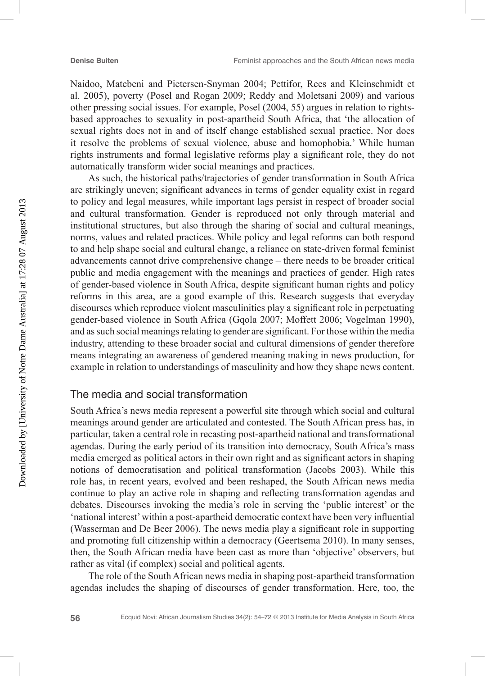Naidoo, Matebeni and Pietersen-Snyman 2004; Pettifor, Rees and Kleinschmidt et al. 2005), poverty (Posel and Rogan 2009; Reddy and Moletsani 2009) and various other pressing social issues. For example, Posel (2004, 55) argues in relation to rightsbased approaches to sexuality in post-apartheid South Africa, that 'the allocation of sexual rights does not in and of itself change established sexual practice. Nor does it resolve the problems of sexual violence, abuse and homophobia.' While human rights instruments and formal legislative reforms play a significant role, they do not automatically transform wider social meanings and practices.

As such, the historical paths/trajectories of gender transformation in South Africa are strikingly uneven; significant advances in terms of gender equality exist in regard to policy and legal measures, while important lags persist in respect of broader social and cultural transformation. Gender is reproduced not only through material and institutional structures, but also through the sharing of social and cultural meanings, norms, values and related practices. While policy and legal reforms can both respond to and help shape social and cultural change, a reliance on state-driven formal feminist advancements cannot drive comprehensive change – there needs to be broader critical public and media engagement with the meanings and practices of gender. High rates of gender-based violence in South Africa, despite significant human rights and policy reforms in this area, are a good example of this. Research suggests that everyday discourses which reproduce violent masculinities play a significant role in perpetuating gender-based violence in South Africa (Gqola 2007; Moffett 2006; Vogelman 1990), and as such social meanings relating to gender are significant. For those within the media industry, attending to these broader social and cultural dimensions of gender therefore means integrating an awareness of gendered meaning making in news production, for example in relation to understandings of masculinity and how they shape news content.

# The media and social transformation

South Africa's news media represent a powerful site through which social and cultural meanings around gender are articulated and contested. The South African press has, in particular, taken a central role in recasting post-apartheid national and transformational agendas. During the early period of its transition into democracy, South Africa's mass media emerged as political actors in their own right and as significant actors in shaping notions of democratisation and political transformation (Jacobs 2003). While this role has, in recent years, evolved and been reshaped, the South African news media continue to play an active role in shaping and reflecting transformation agendas and debates. Discourses invoking the media's role in serving the 'public interest' or the 'national interest' within a post-apartheid democratic context have been very influential (Wasserman and De Beer 2006). The news media play a significant role in supporting and promoting full citizenship within a democracy (Geertsema 2010). In many senses, then, the South African media have been cast as more than 'objective' observers, but rather as vital (if complex) social and political agents.

The role of the South African news media in shaping post-apartheid transformation agendas includes the shaping of discourses of gender transformation. Here, too, the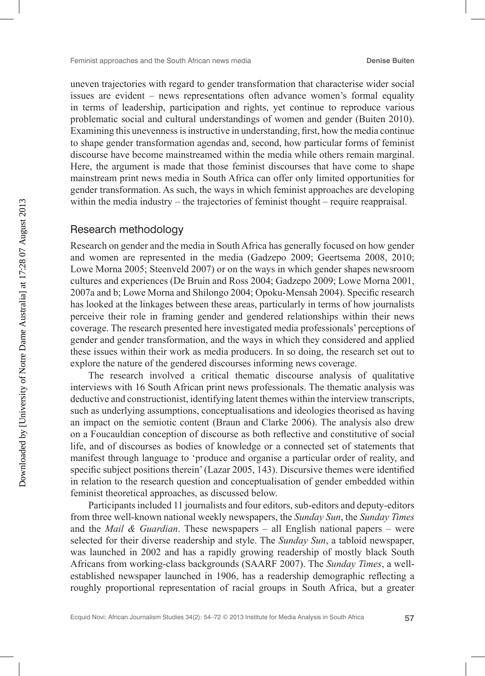uneven trajectories with regard to gender transformation that characterise wider social issues are evident – news representations often advance women's formal equality in terms of leadership, participation and rights, yet continue to reproduce various problematic social and cultural understandings of women and gender (Buiten 2010). Examining this unevenness is instructive in understanding, first, how the media continue to shape gender transformation agendas and, second, how particular forms of feminist discourse have become mainstreamed within the media while others remain marginal. Here, the argument is made that those feminist discourses that have come to shape mainstream print news media in South Africa can offer only limited opportunities for gender transformation. As such, the ways in which feminist approaches are developing within the media industry – the trajectories of feminist thought – require reappraisal.

#### Research methodology

Research on gender and the media in South Africa has generally focused on how gender and women are represented in the media (Gadzepo 2009; Geertsema 2008, 2010; Lowe Morna 2005; Steenveld 2007) or on the ways in which gender shapes newsroom cultures and experiences (De Bruin and Ross 2004; Gadzepo 2009; Lowe Morna 2001, 2007a and b; Lowe Morna and Shilongo 2004; Opoku-Mensah 2004). Specific research has looked at the linkages between these areas, particularly in terms of how journalists perceive their role in framing gender and gendered relationships within their news coverage. The research presented here investigated media professionals' perceptions of gender and gender transformation, and the ways in which they considered and applied these issues within their work as media producers. In so doing, the research set out to explore the nature of the gendered discourses informing news coverage.

The research involved a critical thematic discourse analysis of qualitative interviews with 16 South African print news professionals. The thematic analysis was deductive and constructionist, identifying latent themes within the interview transcripts, such as underlying assumptions, conceptualisations and ideologies theorised as having an impact on the semiotic content (Braun and Clarke 2006). The analysis also drew on a Foucauldian conception of discourse as both reflective and constitutive of social life, and of discourses as bodies of knowledge or a connected set of statements that manifest through language to 'produce and organise a particular order of reality, and specific subject positions therein' (Lazar 2005, 143). Discursive themes were identified in relation to the research question and conceptualisation of gender embedded within feminist theoretical approaches, as discussed below.

Participants included 11 journalists and four editors, sub-editors and deputy-editors from three well-known national weekly newspapers, the *Sunday Sun*, the *Sunday Times* and the *Mail & Guardian*. These newspapers – all English national papers – were selected for their diverse readership and style. The *Sunday Sun*, a tabloid newspaper, was launched in 2002 and has a rapidly growing readership of mostly black South Africans from working-class backgrounds (SAARF 2007). The *Sunday Times*, a wellestablished newspaper launched in 1906, has a readership demographic reflecting a roughly proportional representation of racial groups in South Africa, but a greater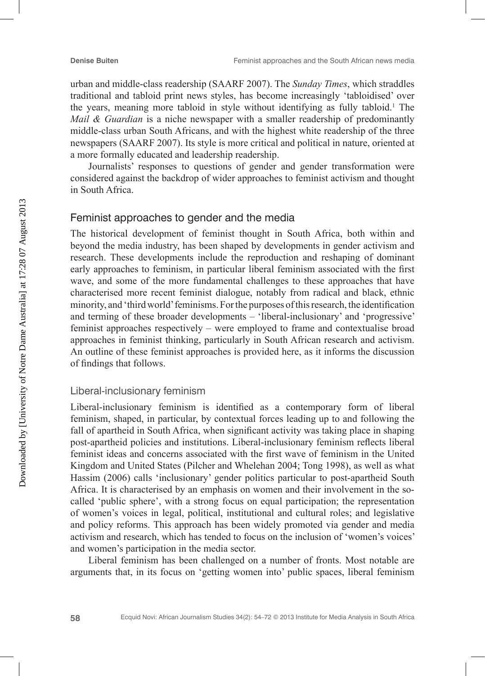urban and middle-class readership (SAARF 2007). The *Sunday Times*, which straddles traditional and tabloid print news styles, has become increasingly 'tabloidised' over the years, meaning more tabloid in style without identifying as fully tabloid.1 The *Mail & Guardian* is a niche newspaper with a smaller readership of predominantly middle-class urban South Africans, and with the highest white readership of the three newspapers (SAARF 2007). Its style is more critical and political in nature, oriented at a more formally educated and leadership readership.

Journalists' responses to questions of gender and gender transformation were considered against the backdrop of wider approaches to feminist activism and thought in South Africa.

## Feminist approaches to gender and the media

The historical development of feminist thought in South Africa, both within and beyond the media industry, has been shaped by developments in gender activism and research. These developments include the reproduction and reshaping of dominant early approaches to feminism, in particular liberal feminism associated with the first wave, and some of the more fundamental challenges to these approaches that have characterised more recent feminist dialogue, notably from radical and black, ethnic minority, and 'third world' feminisms. For the purposes of this research, the identification and terming of these broader developments – 'liberal-inclusionary' and 'progressive' feminist approaches respectively – were employed to frame and contextualise broad approaches in feminist thinking, particularly in South African research and activism. An outline of these feminist approaches is provided here, as it informs the discussion of findings that follows.

#### Liberal-inclusionary feminism

Liberal-inclusionary feminism is identified as a contemporary form of liberal feminism, shaped, in particular, by contextual forces leading up to and following the fall of apartheid in South Africa, when significant activity was taking place in shaping post-apartheid policies and institutions. Liberal-inclusionary feminism reflects liberal feminist ideas and concerns associated with the first wave of feminism in the United Kingdom and United States (Pilcher and Whelehan 2004; Tong 1998), as well as what Hassim (2006) calls 'inclusionary' gender politics particular to post-apartheid South Africa. It is characterised by an emphasis on women and their involvement in the socalled 'public sphere', with a strong focus on equal participation; the representation of women's voices in legal, political, institutional and cultural roles; and legislative and policy reforms. This approach has been widely promoted via gender and media activism and research, which has tended to focus on the inclusion of 'women's voices' and women's participation in the media sector.

Liberal feminism has been challenged on a number of fronts. Most notable are arguments that, in its focus on 'getting women into' public spaces, liberal feminism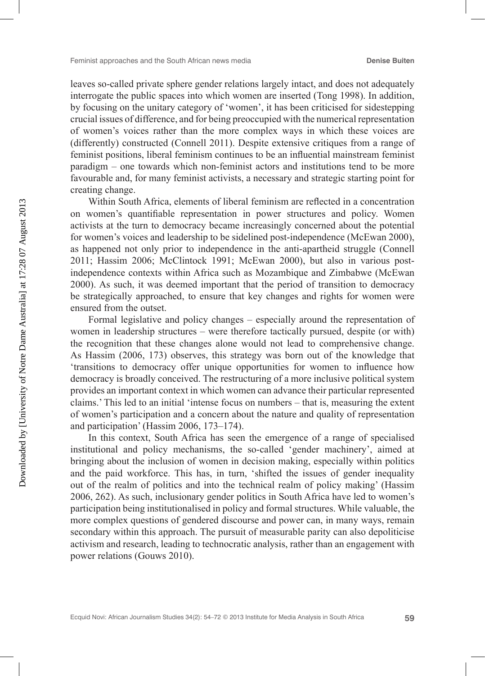leaves so-called private sphere gender relations largely intact, and does not adequately interrogate the public spaces into which women are inserted (Tong 1998). In addition, by focusing on the unitary category of 'women', it has been criticised for sidestepping crucial issues of difference, and for being preoccupied with the numerical representation of women's voices rather than the more complex ways in which these voices are (differently) constructed (Connell 2011). Despite extensive critiques from a range of feminist positions, liberal feminism continues to be an influential mainstream feminist paradigm – one towards which non-feminist actors and institutions tend to be more favourable and, for many feminist activists, a necessary and strategic starting point for creating change.

Within South Africa, elements of liberal feminism are reflected in a concentration on women's quantifiable representation in power structures and policy. Women activists at the turn to democracy became increasingly concerned about the potential for women's voices and leadership to be sidelined post-independence (McEwan 2000), as happened not only prior to independence in the anti-apartheid struggle (Connell 2011; Hassim 2006; McClintock 1991; McEwan 2000), but also in various postindependence contexts within Africa such as Mozambique and Zimbabwe (McEwan 2000). As such, it was deemed important that the period of transition to democracy be strategically approached, to ensure that key changes and rights for women were ensured from the outset.

Formal legislative and policy changes – especially around the representation of women in leadership structures – were therefore tactically pursued, despite (or with) the recognition that these changes alone would not lead to comprehensive change. As Hassim (2006, 173) observes, this strategy was born out of the knowledge that 'transitions to democracy offer unique opportunities for women to influence how democracy is broadly conceived. The restructuring of a more inclusive political system provides an important context in which women can advance their particular represented claims.' This led to an initial 'intense focus on numbers – that is, measuring the extent of women's participation and a concern about the nature and quality of representation and participation' (Hassim 2006, 173–174).

In this context, South Africa has seen the emergence of a range of specialised institutional and policy mechanisms, the so-called 'gender machinery', aimed at bringing about the inclusion of women in decision making, especially within politics and the paid workforce. This has, in turn, 'shifted the issues of gender inequality out of the realm of politics and into the technical realm of policy making' (Hassim 2006, 262). As such, inclusionary gender politics in South Africa have led to women's participation being institutionalised in policy and formal structures. While valuable, the more complex questions of gendered discourse and power can, in many ways, remain secondary within this approach. The pursuit of measurable parity can also depoliticise activism and research, leading to technocratic analysis, rather than an engagement with power relations (Gouws 2010).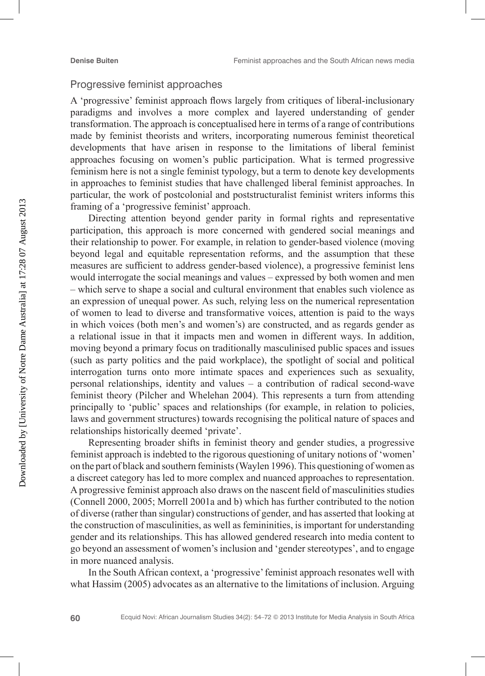#### Progressive feminist approaches

A 'progressive' feminist approach flows largely from critiques of liberal-inclusionary paradigms and involves a more complex and layered understanding of gender transformation. The approach is conceptualised here in terms of a range of contributions made by feminist theorists and writers, incorporating numerous feminist theoretical developments that have arisen in response to the limitations of liberal feminist approaches focusing on women's public participation. What is termed progressive feminism here is not a single feminist typology, but a term to denote key developments in approaches to feminist studies that have challenged liberal feminist approaches. In particular, the work of postcolonial and poststructuralist feminist writers informs this framing of a 'progressive feminist' approach.

Directing attention beyond gender parity in formal rights and representative participation, this approach is more concerned with gendered social meanings and their relationship to power. For example, in relation to gender-based violence (moving beyond legal and equitable representation reforms, and the assumption that these measures are sufficient to address gender-based violence), a progressive feminist lens would interrogate the social meanings and values – expressed by both women and men – which serve to shape a social and cultural environment that enables such violence as an expression of unequal power. As such, relying less on the numerical representation of women to lead to diverse and transformative voices, attention is paid to the ways in which voices (both men's and women's) are constructed, and as regards gender as a relational issue in that it impacts men and women in different ways. In addition, moving beyond a primary focus on traditionally masculinised public spaces and issues (such as party politics and the paid workplace), the spotlight of social and political interrogation turns onto more intimate spaces and experiences such as sexuality, personal relationships, identity and values – a contribution of radical second-wave feminist theory (Pilcher and Whelehan 2004). This represents a turn from attending principally to 'public' spaces and relationships (for example, in relation to policies, laws and government structures) towards recognising the political nature of spaces and relationships historically deemed 'private'.

Representing broader shifts in feminist theory and gender studies, a progressive feminist approach is indebted to the rigorous questioning of unitary notions of 'women' on the part of black and southern feminists (Waylen 1996). This questioning of women as a discreet category has led to more complex and nuanced approaches to representation. A progressive feminist approach also draws on the nascent field of masculinities studies (Connell 2000, 2005; Morrell 2001a and b) which has further contributed to the notion of diverse (rather than singular) constructions of gender, and has asserted that looking at the construction of masculinities, as well as femininities, is important for understanding gender and its relationships. This has allowed gendered research into media content to go beyond an assessment of women's inclusion and 'gender stereotypes', and to engage in more nuanced analysis.

In the South African context, a 'progressive' feminist approach resonates well with what Hassim (2005) advocates as an alternative to the limitations of inclusion. Arguing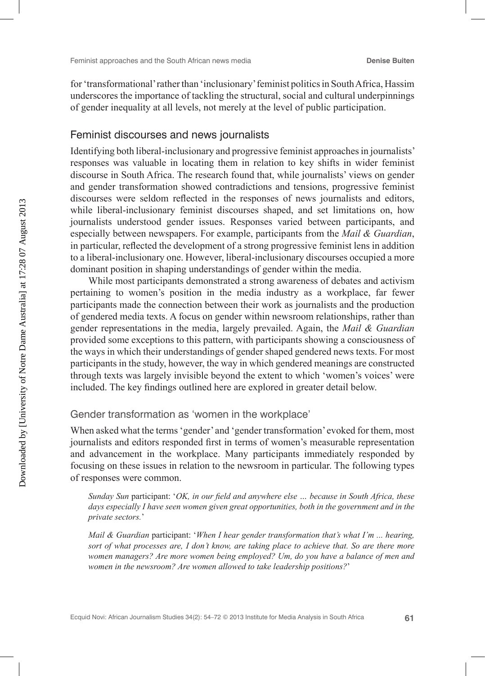for 'transformational' rather than 'inclusionary' feminist politics in South Africa, Hassim underscores the importance of tackling the structural, social and cultural underpinnings of gender inequality at all levels, not merely at the level of public participation.

#### Feminist discourses and news journalists

Identifying both liberal-inclusionary and progressive feminist approaches in journalists' responses was valuable in locating them in relation to key shifts in wider feminist discourse in South Africa. The research found that, while journalists' views on gender and gender transformation showed contradictions and tensions, progressive feminist discourses were seldom reflected in the responses of news journalists and editors, while liberal-inclusionary feminist discourses shaped, and set limitations on, how journalists understood gender issues. Responses varied between participants, and especially between newspapers. For example, participants from the *Mail & Guardian*, in particular, reflected the development of a strong progressive feminist lens in addition to a liberal-inclusionary one. However, liberal-inclusionary discourses occupied a more dominant position in shaping understandings of gender within the media.

While most participants demonstrated a strong awareness of debates and activism pertaining to women's position in the media industry as a workplace, far fewer participants made the connection between their work as journalists and the production of gendered media texts. A focus on gender within newsroom relationships, rather than gender representations in the media, largely prevailed. Again, the *Mail & Guardian* provided some exceptions to this pattern, with participants showing a consciousness of the ways in which their understandings of gender shaped gendered news texts. For most participants in the study, however, the way in which gendered meanings are constructed through texts was largely invisible beyond the extent to which 'women's voices' were included. The key findings outlined here are explored in greater detail below.

#### Gender transformation as 'women in the workplace'

When asked what the terms 'gender' and 'gender transformation' evoked for them, most journalists and editors responded first in terms of women's measurable representation and advancement in the workplace. Many participants immediately responded by focusing on these issues in relation to the newsroom in particular. The following types of responses were common.

*Sunday Sun* participant: '*OK, in our field and anywhere else … because in South Africa, these*  days especially I have seen women given great opportunities, both in the government and in the *private sectors.*'

*Mail & Guardian* participant: '*When I hear gender transformation that's what I'm ... hearing, sort of what processes are, I don't know, are taking place to achieve that. So are there more women managers? Are more women being employed? Um, do you have a balance of men and women in the newsroom? Are women allowed to take leadership positions?*'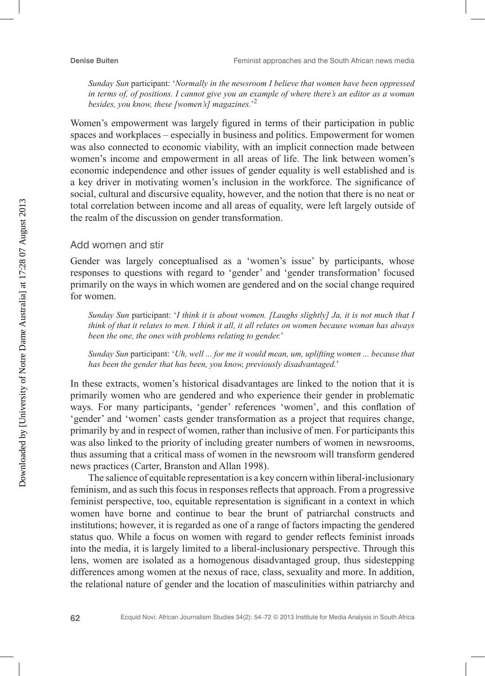*Sunday Sun* participant: '*Normally in the newsroom I believe that women have been oppressed in terms of, of positions. I cannot give you an example of where there's an editor as a woman besides, you know, these [women's] magazines.*' 2

Women's empowerment was largely figured in terms of their participation in public spaces and workplaces – especially in business and politics. Empowerment for women was also connected to economic viability, with an implicit connection made between women's income and empowerment in all areas of life. The link between women's economic independence and other issues of gender equality is well established and is a key driver in motivating women's inclusion in the workforce. The significance of social, cultural and discursive equality, however, and the notion that there is no neat or total correlation between income and all areas of equality, were left largely outside of the realm of the discussion on gender transformation.

#### Add women and stir

Gender was largely conceptualised as a 'women's issue' by participants, whose responses to questions with regard to 'gender' and 'gender transformation' focused primarily on the ways in which women are gendered and on the social change required for women.

*Sunday Sun* participant: '*I think it is about women. [Laughs slightly] Ja, it is not much that I think of that it relates to men. I think it all, it all relates on women because woman has always been the one, the ones with problems relating to gender.*'

*Sunday Sun* participant: '*Uh, well ... for me it would mean, um, uplifting women ... because that has been the gender that has been, you know, previously disadvantaged.*'

In these extracts, women's historical disadvantages are linked to the notion that it is primarily women who are gendered and who experience their gender in problematic ways. For many participants, 'gender' references 'women', and this conflation of 'gender' and 'women' casts gender transformation as a project that requires change, primarily by and in respect of women, rather than inclusive of men. For participants this was also linked to the priority of including greater numbers of women in newsrooms, thus assuming that a critical mass of women in the newsroom will transform gendered news practices (Carter, Branston and Allan 1998).

The salience of equitable representation is a key concern within liberal-inclusionary feminism, and as such this focus in responses reflects that approach. From a progressive feminist perspective, too, equitable representation is significant in a context in which women have borne and continue to bear the brunt of patriarchal constructs and institutions; however, it is regarded as one of a range of factors impacting the gendered status quo. While a focus on women with regard to gender reflects feminist inroads into the media, it is largely limited to a liberal-inclusionary perspective. Through this lens, women are isolated as a homogenous disadvantaged group, thus sidestepping differences among women at the nexus of race, class, sexuality and more. In addition, the relational nature of gender and the location of masculinities within patriarchy and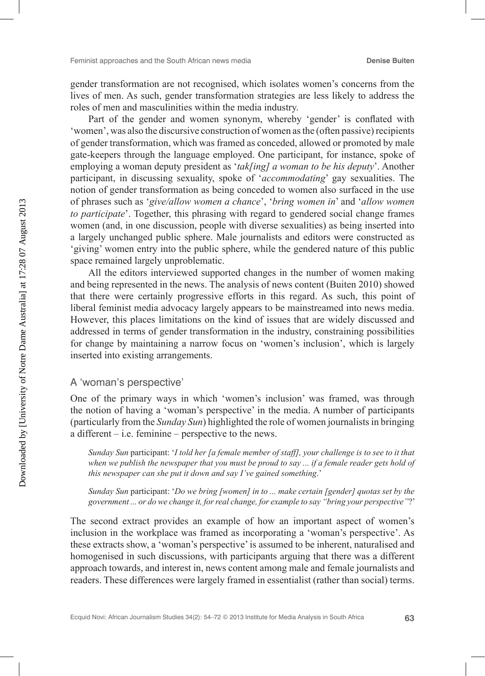gender transformation are not recognised, which isolates women's concerns from the lives of men. As such, gender transformation strategies are less likely to address the roles of men and masculinities within the media industry.

Part of the gender and women synonym, whereby 'gender' is conflated with 'women', was also the discursive construction of women as the (often passive) recipients of gender transformation, which was framed as conceded, allowed or promoted by male gate-keepers through the language employed. One participant, for instance, spoke of employing a woman deputy president as '*tak[ing] a woman to be his deputy*'. Another participant, in discussing sexuality, spoke of '*accommodating*' gay sexualities. The notion of gender transformation as being conceded to women also surfaced in the use of phrases such as '*give/allow women a chance*', '*bring women in*' and '*allow women to participate*'. Together, this phrasing with regard to gendered social change frames women (and, in one discussion, people with diverse sexualities) as being inserted into a largely unchanged public sphere. Male journalists and editors were constructed as 'giving' women entry into the public sphere, while the gendered nature of this public space remained largely unproblematic.

All the editors interviewed supported changes in the number of women making and being represented in the news. The analysis of news content (Buiten 2010) showed that there were certainly progressive efforts in this regard. As such, this point of liberal feminist media advocacy largely appears to be mainstreamed into news media. However, this places limitations on the kind of issues that are widely discussed and addressed in terms of gender transformation in the industry, constraining possibilities for change by maintaining a narrow focus on 'women's inclusion', which is largely inserted into existing arrangements.

#### A 'woman's perspective'

One of the primary ways in which 'women's inclusion' was framed, was through the notion of having a 'woman's perspective' in the media. A number of participants (particularly from the *Sunday Sun*) highlighted the role of women journalists in bringing a different – i.e. feminine – perspective to the news.

*Sunday Sun* participant: '*I told her [a female member of staff], your challenge is to see to it that when we publish the newspaper that you must be proud to say ... if a female reader gets hold of this newspaper can she put it down and say I've gained something*.'

*Sunday Sun* participant: '*Do we bring [women] in to ... make certain [gender] quotas set by the government ... or do we change it, for real change, for example to say "bring your perspective"*?'

The second extract provides an example of how an important aspect of women's inclusion in the workplace was framed as incorporating a 'woman's perspective'. As these extracts show, a 'woman's perspective' is assumed to be inherent, naturalised and homogenised in such discussions, with participants arguing that there was a different approach towards, and interest in, news content among male and female journalists and readers. These differences were largely framed in essentialist (rather than social) terms.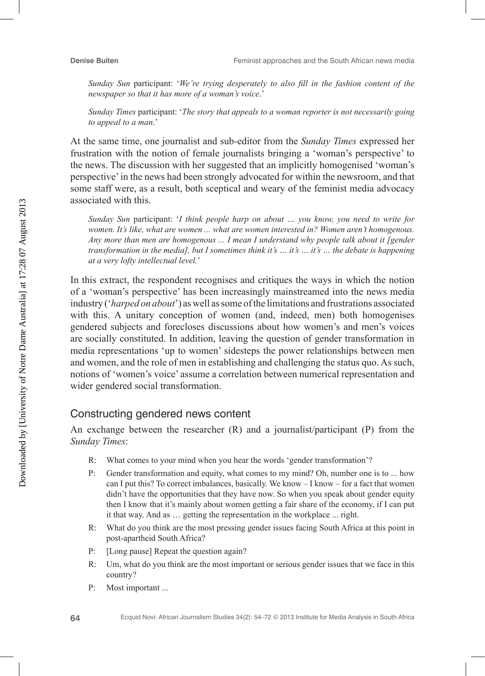*Sunday Sun* participant: '*We're trying desperately to also fill in the fashion content of the newspaper so that it has more of a woman's voice*.'

*Sunday Times* participant: '*The story that appeals to a woman reporter is not necessarily going to appeal to a man*.'

At the same time, one journalist and sub-editor from the *Sunday Times* expressed her frustration with the notion of female journalists bringing a 'woman's perspective' to the news. The discussion with her suggested that an implicitly homogenised 'woman's perspective' in the news had been strongly advocated for within the newsroom, and that some staff were, as a result, both sceptical and weary of the feminist media advocacy associated with this.

*Sunday Sun* participant: '*I think people harp on about … you know, you need to write for women. It's like, what are women ... what are women interested in? Women aren't homogenous. Any more than men are homogenous ... I mean I understand why people talk about it [gender transformation in the media], but I sometimes think it's … it's … it's … the debate is happening at a very lofty intellectual level.*'

In this extract, the respondent recognises and critiques the ways in which the notion of a 'woman's perspective' has been increasingly mainstreamed into the news media industry ('*harped on about*') as well as some of the limitations and frustrations associated with this. A unitary conception of women (and, indeed, men) both homogenises gendered subjects and forecloses discussions about how women's and men's voices are socially constituted. In addition, leaving the question of gender transformation in media representations 'up to women' sidesteps the power relationships between men and women, and the role of men in establishing and challenging the status quo. As such, notions of 'women's voice' assume a correlation between numerical representation and wider gendered social transformation.

# Constructing gendered news content

An exchange between the researcher (R) and a journalist/participant (P) from the *Sunday Times*:

- R: What comes to your mind when you hear the words 'gender transformation'?
- P: Gender transformation and equity, what comes to my mind? Oh, number one is to ... how can I put this? To correct imbalances, basically. We know – I know – for a fact that women didn't have the opportunities that they have now. So when you speak about gender equity then I know that it's mainly about women getting a fair share of the economy, if I can put it that way. And as … getting the representation in the workplace ... right.
- R: What do you think are the most pressing gender issues facing South Africa at this point in post-apartheid South Africa?
- P: [Long pause] Repeat the question again?
- R: Um, what do you think are the most important or serious gender issues that we face in this country?
- P: Most important ...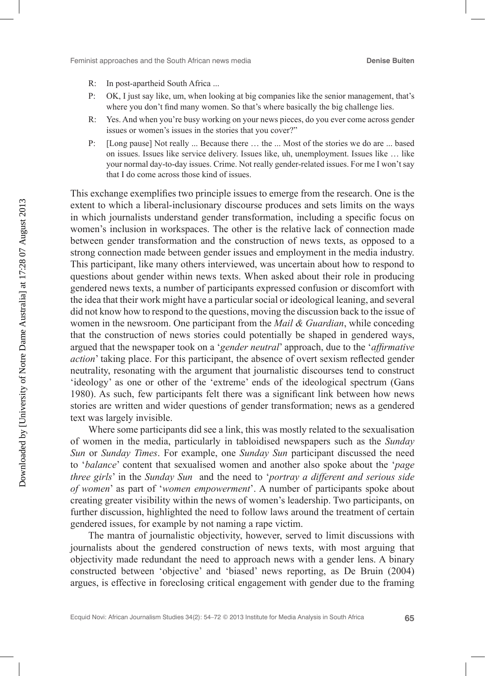- R: In post-apartheid South Africa ...
- P: OK, I just say like, um, when looking at big companies like the senior management, that's where you don't find many women. So that's where basically the big challenge lies.
- R: Yes. And when you're busy working on your news pieces, do you ever come across gender issues or women's issues in the stories that you cover?"
- P: [Long pause] Not really ... Because there … the ... Most of the stories we do are ... based on issues. Issues like service delivery. Issues like, uh, unemployment. Issues like … like your normal day-to-day issues. Crime. Not really gender-related issues. For me I won't say that I do come across those kind of issues.

This exchange exemplifies two principle issues to emerge from the research. One is the extent to which a liberal-inclusionary discourse produces and sets limits on the ways in which journalists understand gender transformation, including a specific focus on women's inclusion in workspaces. The other is the relative lack of connection made between gender transformation and the construction of news texts, as opposed to a strong connection made between gender issues and employment in the media industry. This participant, like many others interviewed, was uncertain about how to respond to questions about gender within news texts. When asked about their role in producing gendered news texts, a number of participants expressed confusion or discomfort with the idea that their work might have a particular social or ideological leaning, and several did not know how to respond to the questions, moving the discussion back to the issue of women in the newsroom. One participant from the *Mail & Guardian*, while conceding that the construction of news stories could potentially be shaped in gendered ways, argued that the newspaper took on a '*gender neutral*' approach, due to the '*affirmative action*' taking place. For this participant, the absence of overt sexism reflected gender neutrality, resonating with the argument that journalistic discourses tend to construct 'ideology' as one or other of the 'extreme' ends of the ideological spectrum (Gans 1980). As such, few participants felt there was a significant link between how news stories are written and wider questions of gender transformation; news as a gendered text was largely invisible.

Where some participants did see a link, this was mostly related to the sexualisation of women in the media, particularly in tabloidised newspapers such as the *Sunday Sun* or *Sunday Times*. For example, one *Sunday Sun* participant discussed the need to '*balance*' content that sexualised women and another also spoke about the '*page three girls*' in the *Sunday Sun* and the need to '*portray a different and serious side of women*' as part of '*women empowerment*'. A number of participants spoke about creating greater visibility within the news of women's leadership. Two participants, on further discussion, highlighted the need to follow laws around the treatment of certain gendered issues, for example by not naming a rape victim.

The mantra of journalistic objectivity, however, served to limit discussions with journalists about the gendered construction of news texts, with most arguing that objectivity made redundant the need to approach news with a gender lens. A binary constructed between 'objective' and 'biased' news reporting, as De Bruin (2004) argues, is effective in foreclosing critical engagement with gender due to the framing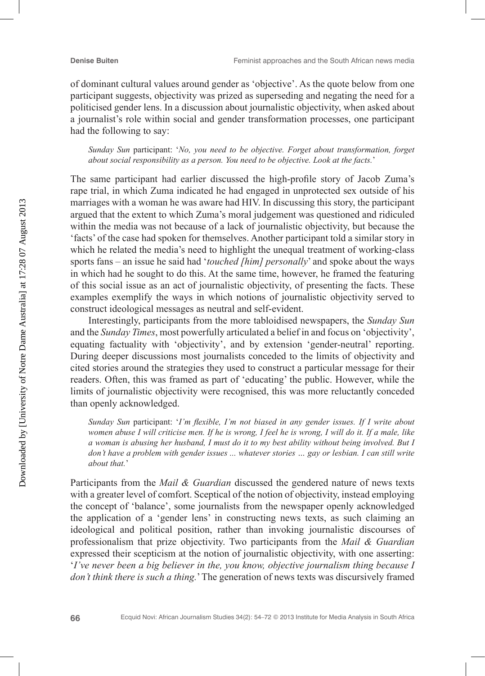of dominant cultural values around gender as 'objective'. As the quote below from one participant suggests, objectivity was prized as superseding and negating the need for a politicised gender lens. In a discussion about journalistic objectivity, when asked about a journalist's role within social and gender transformation processes, one participant had the following to say:

*Sunday Sun* participant: '*No, you need to be objective. Forget about transformation, forget about social responsibility as a person. You need to be objective. Look at the facts.*'

The same participant had earlier discussed the high-profile story of Jacob Zuma's rape trial, in which Zuma indicated he had engaged in unprotected sex outside of his marriages with a woman he was aware had HIV. In discussing this story, the participant argued that the extent to which Zuma's moral judgement was questioned and ridiculed within the media was not because of a lack of journalistic objectivity, but because the 'facts' of the case had spoken for themselves. Another participant told a similar story in which he related the media's need to highlight the unequal treatment of working-class sports fans – an issue he said had '*touched [him] personally*' and spoke about the ways in which had he sought to do this. At the same time, however, he framed the featuring of this social issue as an act of journalistic objectivity, of presenting the facts. These examples exemplify the ways in which notions of journalistic objectivity served to construct ideological messages as neutral and self-evident.

Interestingly, participants from the more tabloidised newspapers, the *Sunday Sun* and the *Sunday Times*, most powerfully articulated a belief in and focus on 'objectivity', equating factuality with 'objectivity', and by extension 'gender-neutral' reporting. During deeper discussions most journalists conceded to the limits of objectivity and cited stories around the strategies they used to construct a particular message for their readers. Often, this was framed as part of 'educating' the public. However, while the limits of journalistic objectivity were recognised, this was more reluctantly conceded than openly acknowledged.

*Sunday Sun* participant: '*I'm flexible, I'm not biased in any gender issues. If I write about women abuse I will criticise men. If he is wrong, I feel he is wrong, I will do it. If a male, like a woman is abusing her husband, I must do it to my best ability without being involved. But I don't have a problem with gender issues ... whatever stories ... gay or lesbian. I can still write about that.*'

Participants from the *Mail & Guardian* discussed the gendered nature of news texts with a greater level of comfort. Sceptical of the notion of objectivity, instead employing the concept of 'balance', some journalists from the newspaper openly acknowledged the application of a 'gender lens' in constructing news texts, as such claiming an ideological and political position, rather than invoking journalistic discourses of professionalism that prize objectivity. Two participants from the *Mail & Guardian* expressed their scepticism at the notion of journalistic objectivity, with one asserting: '*I've never been a big believer in the, you know, objective journalism thing because I don't think there is such a thing.*' The generation of news texts was discursively framed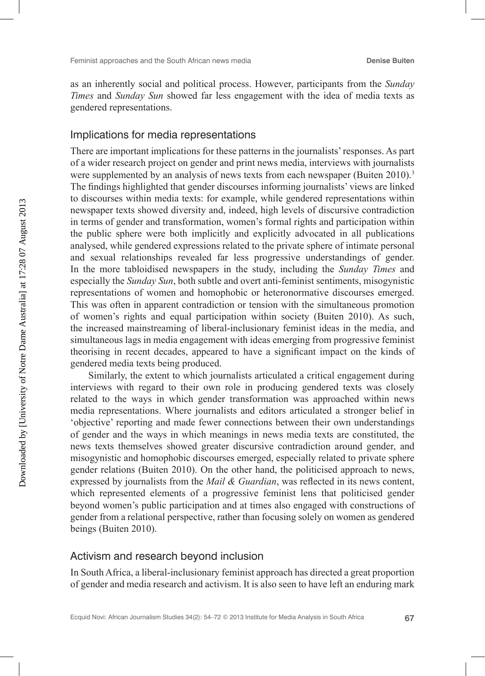as an inherently social and political process. However, participants from the *Sunday Times* and *Sunday Sun* showed far less engagement with the idea of media texts as gendered representations.

#### Implications for media representations

There are important implications for these patterns in the journalists' responses. As part of a wider research project on gender and print news media, interviews with journalists were supplemented by an analysis of news texts from each newspaper (Buiten 2010).<sup>3</sup> The findings highlighted that gender discourses informing journalists' views are linked to discourses within media texts: for example, while gendered representations within newspaper texts showed diversity and, indeed, high levels of discursive contradiction in terms of gender and transformation, women's formal rights and participation within the public sphere were both implicitly and explicitly advocated in all publications analysed, while gendered expressions related to the private sphere of intimate personal and sexual relationships revealed far less progressive understandings of gender. In the more tabloidised newspapers in the study, including the *Sunday Times* and especially the *Sunday Sun*, both subtle and overt anti-feminist sentiments, misogynistic representations of women and homophobic or heteronormative discourses emerged. This was often in apparent contradiction or tension with the simultaneous promotion of women's rights and equal participation within society (Buiten 2010). As such, the increased mainstreaming of liberal-inclusionary feminist ideas in the media, and simultaneous lags in media engagement with ideas emerging from progressive feminist theorising in recent decades, appeared to have a significant impact on the kinds of gendered media texts being produced.

Similarly, the extent to which journalists articulated a critical engagement during interviews with regard to their own role in producing gendered texts was closely related to the ways in which gender transformation was approached within news media representations. Where journalists and editors articulated a stronger belief in 'objective' reporting and made fewer connections between their own understandings of gender and the ways in which meanings in news media texts are constituted, the news texts themselves showed greater discursive contradiction around gender, and misogynistic and homophobic discourses emerged, especially related to private sphere gender relations (Buiten 2010). On the other hand, the politicised approach to news, expressed by journalists from the *Mail & Guardian*, was reflected in its news content, which represented elements of a progressive feminist lens that politicised gender beyond women's public participation and at times also engaged with constructions of gender from a relational perspective, rather than focusing solely on women as gendered beings (Buiten 2010).

#### Activism and research beyond inclusion

In South Africa, a liberal-inclusionary feminist approach has directed a great proportion of gender and media research and activism. It is also seen to have left an enduring mark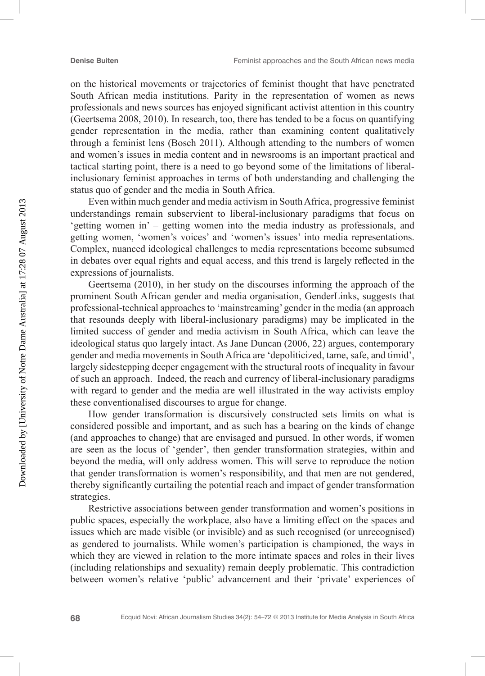on the historical movements or trajectories of feminist thought that have penetrated South African media institutions. Parity in the representation of women as news professionals and news sources has enjoyed significant activist attention in this country (Geertsema 2008, 2010). In research, too, there has tended to be a focus on quantifying gender representation in the media, rather than examining content qualitatively through a feminist lens (Bosch 2011). Although attending to the numbers of women and women's issues in media content and in newsrooms is an important practical and tactical starting point, there is a need to go beyond some of the limitations of liberalinclusionary feminist approaches in terms of both understanding and challenging the status quo of gender and the media in South Africa.

Even within much gender and media activism in South Africa, progressive feminist understandings remain subservient to liberal-inclusionary paradigms that focus on 'getting women in' – getting women into the media industry as professionals, and getting women, 'women's voices' and 'women's issues' into media representations. Complex, nuanced ideological challenges to media representations become subsumed in debates over equal rights and equal access, and this trend is largely reflected in the expressions of journalists.

Geertsema (2010), in her study on the discourses informing the approach of the prominent South African gender and media organisation, GenderLinks, suggests that professional-technical approaches to 'mainstreaming' gender in the media (an approach that resounds deeply with liberal-inclusionary paradigms) may be implicated in the limited success of gender and media activism in South Africa, which can leave the ideological status quo largely intact. As Jane Duncan (2006, 22) argues, contemporary gender and media movements in South Africa are 'depoliticized, tame, safe, and timid', largely sidestepping deeper engagement with the structural roots of inequality in favour of such an approach. Indeed, the reach and currency of liberal-inclusionary paradigms with regard to gender and the media are well illustrated in the way activists employ these conventionalised discourses to argue for change.

How gender transformation is discursively constructed sets limits on what is considered possible and important, and as such has a bearing on the kinds of change (and approaches to change) that are envisaged and pursued. In other words, if women are seen as the locus of 'gender', then gender transformation strategies, within and beyond the media, will only address women. This will serve to reproduce the notion that gender transformation is women's responsibility, and that men are not gendered, thereby significantly curtailing the potential reach and impact of gender transformation strategies.

Restrictive associations between gender transformation and women's positions in public spaces, especially the workplace, also have a limiting effect on the spaces and issues which are made visible (or invisible) and as such recognised (or unrecognised) as gendered to journalists. While women's participation is championed, the ways in which they are viewed in relation to the more intimate spaces and roles in their lives (including relationships and sexuality) remain deeply problematic. This contradiction between women's relative 'public' advancement and their 'private' experiences of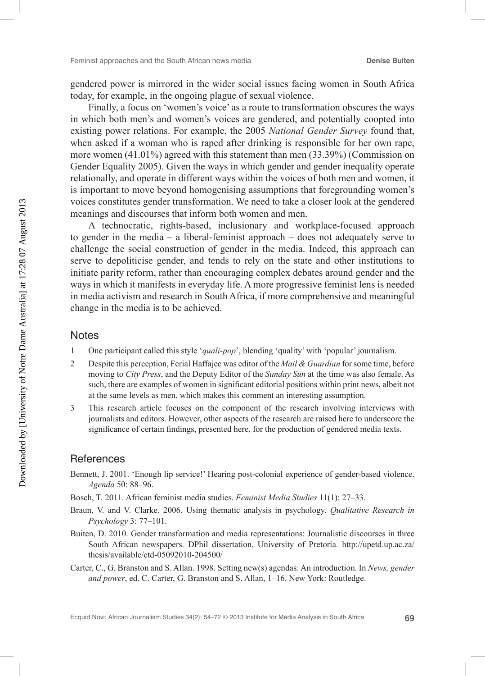gendered power is mirrored in the wider social issues facing women in South Africa today, for example, in the ongoing plague of sexual violence.

Finally, a focus on 'women's voice' as a route to transformation obscures the ways in which both men's and women's voices are gendered, and potentially coopted into existing power relations. For example, the 2005 *National Gender Survey* found that, when asked if a woman who is raped after drinking is responsible for her own rape, more women (41.01%) agreed with this statement than men (33.39%) (Commission on Gender Equality 2005). Given the ways in which gender and gender inequality operate relationally, and operate in different ways within the voices of both men and women, it is important to move beyond homogenising assumptions that foregrounding women's voices constitutes gender transformation. We need to take a closer look at the gendered meanings and discourses that inform both women and men.

A technocratic, rights-based, inclusionary and workplace-focused approach to gender in the media  $-$  a liberal-feminist approach  $-$  does not adequately serve to challenge the social construction of gender in the media. Indeed, this approach can serve to depoliticise gender, and tends to rely on the state and other institutions to initiate parity reform, rather than encouraging complex debates around gender and the ways in which it manifests in everyday life. A more progressive feminist lens is needed in media activism and research in South Africa, if more comprehensive and meaningful change in the media is to be achieved.

#### **Notes**

- 1 One participant called this style '*quali-pop*', blending 'quality' with 'popular' journalism.
- 2 Despite this perception, Ferial Haffajee was editor of the *Mail & Guardian* for some time, before moving to *City Press*, and the Deputy Editor of the *Sunday Sun* at the time was also female. As such, there are examples of women in significant editorial positions within print news, albeit not at the same levels as men, which makes this comment an interesting assumption.
- 3 This research article focuses on the component of the research involving interviews with journalists and editors. However, other aspects of the research are raised here to underscore the significance of certain findings, presented here, for the production of gendered media texts.

#### **References**

- Bennett, J. 2001. 'Enough lip service!' Hearing post-colonial experience of gender-based violence. *Agenda* 50: 88–96.
- Bosch, T. 2011. African feminist media studies. *Feminist Media Studies* 11(1): 27–33.
- Braun, V. and V. Clarke. 2006. Using thematic analysis in psychology. *Qualitative Research in Psychology* 3: 77–101.
- Buiten, D. 2010. Gender transformation and media representations: Journalistic discourses in three South African newspapers. DPhil dissertation, University of Pretoria. http://upetd.up.ac.za/ thesis/available/etd-05092010-204500/
- Carter, C., G. Branston and S. Allan. 1998. Setting new(s) agendas: An introduction. In *News, gender and power*, ed. C. Carter, G. Branston and S. Allan, 1–16. New York: Routledge.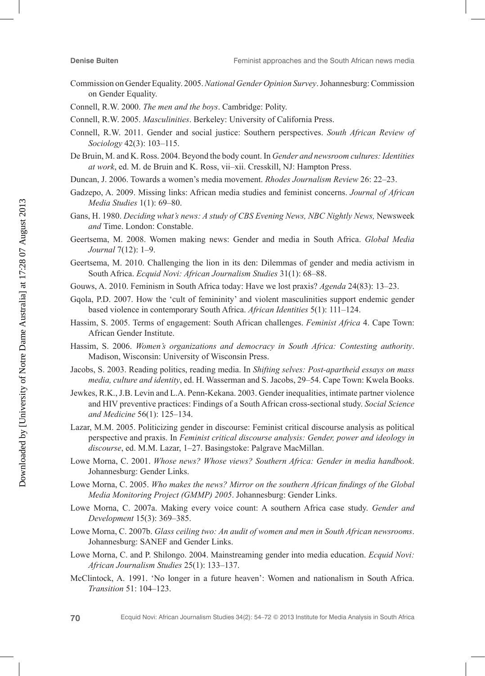- Commission on Gender Equality. 2005. *National Gender Opinion Survey*. Johannesburg: Commission on Gender Equality.
- Connell, R.W. 2000. *The men and the boys*. Cambridge: Polity.
- Connell, R.W. 2005. *Masculinities*. Berkeley: University of California Press.
- Connell, R.W. 2011. Gender and social justice: Southern perspectives. *South African Review of Sociology* 42(3): 103–115.
- De Bruin, M. and K. Ross. 2004. Beyond the body count. In *Gender and newsroom cultures: Identities at work*, ed. M. de Bruin and K. Ross, vii–xii. Cresskill, NJ: Hampton Press.
- Duncan, J. 2006. Towards a women's media movement. *Rhodes Journalism Review* 26: 22–23.
- Gadzepo, A. 2009. Missing links: African media studies and feminist concerns. *Journal of African Media Studies* 1(1): 69–80.
- Gans, H. 1980. *Deciding what's news: A study of CBS Evening News, NBC Nightly News,* Newsweek *and* Time. London: Constable.
- Geertsema, M. 2008. Women making news: Gender and media in South Africa. *Global Media Journal* 7(12): 1–9.
- Geertsema, M. 2010. Challenging the lion in its den: Dilemmas of gender and media activism in South Africa. *Ecquid Novi: African Journalism Studies* 31(1): 68–88.
- Gouws, A. 2010. Feminism in South Africa today: Have we lost praxis? *Agenda* 24(83): 13–23.
- Gqola, P.D. 2007. How the 'cult of femininity' and violent masculinities support endemic gender based violence in contemporary South Africa. *African Identities* 5(1): 111–124.
- Hassim, S. 2005. Terms of engagement: South African challenges. *Feminist Africa* 4. Cape Town: African Gender Institute.
- Hassim, S. 2006. *Women's organizations and democracy in South Africa: Contesting authority*. Madison, Wisconsin: University of Wisconsin Press.
- Jacobs, S. 2003. Reading politics, reading media. In *Shifting selves: Post-apartheid essays on mass media, culture and identity*, ed. H. Wasserman and S. Jacobs, 29–54. Cape Town: Kwela Books.
- Jewkes, R.K., J.B. Levin and L.A. Penn-Kekana. 2003. Gender inequalities, intimate partner violence and HIV preventive practices: Findings of a South African cross-sectional study. *Social Science and Medicine* 56(1): 125–134.
- Lazar, M.M. 2005. Politicizing gender in discourse: Feminist critical discourse analysis as political perspective and praxis. In *Feminist critical discourse analysis: Gender, power and ideology in discourse*, ed. M.M. Lazar, 1–27. Basingstoke: Palgrave MacMillan.
- Lowe Morna, C. 2001. *Whose news? Whose views? Southern Africa: Gender in media handbook*. Johannesburg: Gender Links.
- Lowe Morna, C. 2005. *Who makes the news? Mirror on the southern African findings of the Global Media Monitoring Project (GMMP) 2005*. Johannesburg: Gender Links.
- Lowe Morna, C. 2007a. Making every voice count: A southern Africa case study. *Gender and Development* 15(3): 369–385.
- Lowe Morna, C. 2007b. *Glass ceiling two: An audit of women and men in South African newsrooms*. Johannesburg: SANEF and Gender Links.
- Lowe Morna, C. and P. Shilongo. 2004. Mainstreaming gender into media education. *Ecquid Novi: African Journalism Studies* 25(1): 133–137.
- McClintock, A. 1991. 'No longer in a future heaven': Women and nationalism in South Africa. *Transition* 51: 104–123.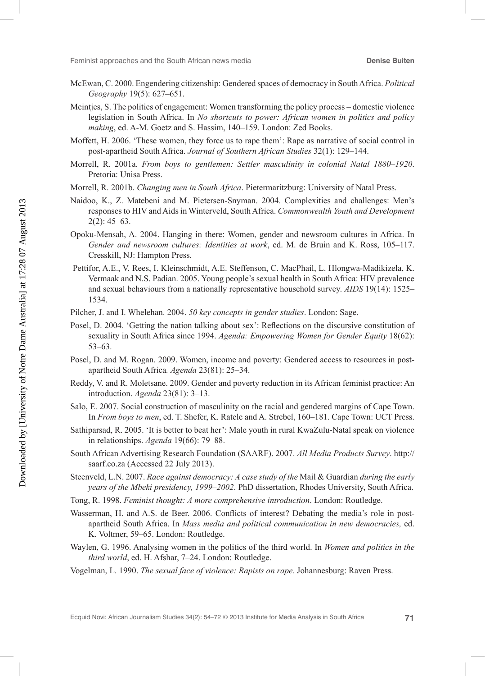- McEwan, C. 2000. Engendering citizenship: Gendered spaces of democracy in South Africa. *Political Geography* 19(5): 627–651.
- Meintjes, S. The politics of engagement: Women transforming the policy process domestic violence legislation in South Africa. In *No shortcuts to power: African women in politics and policy making*, ed. A-M. Goetz and S. Hassim, 140–159. London: Zed Books.
- Moffett, H. 2006. 'These women, they force us to rape them': Rape as narrative of social control in post-apartheid South Africa. *Journal of Southern African Studies* 32(1): 129–144.
- Morrell, R. 2001a. *From boys to gentlemen: Settler masculinity in colonial Natal 1880–1920*. Pretoria: Unisa Press.
- Morrell, R. 2001b. *Changing men in South Africa*. Pietermaritzburg: University of Natal Press.
- Naidoo, K., Z. Matebeni and M. Pietersen-Snyman. 2004. Complexities and challenges: Men's responses to HIV and Aids in Winterveld, South Africa. *Commonwealth Youth and Development*   $2(2)$ : 45–63.
- Opoku-Mensah, A. 2004. Hanging in there: Women, gender and newsroom cultures in Africa. In *Gender and newsroom cultures: Identities at work*, ed. M. de Bruin and K. Ross, 105–117. Cresskill, NJ: Hampton Press.
- Pettifor, A.E., V. Rees, I. Kleinschmidt, A.E. Steffenson, C. MacPhail, L. Hlongwa-Madikizela, K. Vermaak and N.S. Padian. 2005. Young people's sexual health in South Africa: HIV prevalence and sexual behaviours from a nationally representative household survey. *AIDS* 19(14): 1525– 1534.
- Pilcher, J. and I. Whelehan. 2004. *50 key concepts in gender studies*. London: Sage.
- Posel, D. 2004. 'Getting the nation talking about sex': Reflections on the discursive constitution of sexuality in South Africa since 1994. *Agenda: Empowering Women for Gender Equity* 18(62): 53–63.
- Posel, D. and M. Rogan. 2009. Women, income and poverty: Gendered access to resources in postapartheid South Africa*. Agenda* 23(81): 25–34.
- Reddy, V. and R. Moletsane. 2009. Gender and poverty reduction in its African feminist practice: An introduction. *Agenda* 23(81): 3–13.
- Salo, E. 2007. Social construction of masculinity on the racial and gendered margins of Cape Town. In *From boys to men*, ed. T. Shefer, K. Ratele and A. Strebel, 160–181. Cape Town: UCT Press.
- Sathiparsad, R. 2005. 'It is better to beat her': Male youth in rural KwaZulu-Natal speak on violence in relationships. *Agenda* 19(66): 79–88.
- South African Advertising Research Foundation (SAARF). 2007. *All Media Products Survey*. http:// saarf.co.za (Accessed 22 July 2013).
- Steenveld, L.N. 2007. *Race against democracy: A case study of the* Mail & Guardian *during the early years of the Mbeki presidency, 1999–2002*. PhD dissertation, Rhodes University, South Africa.
- Tong, R. 1998. *Feminist thought: A more comprehensive introduction*. London: Routledge.
- Wasserman, H. and A.S. de Beer. 2006. Conflicts of interest? Debating the media's role in postapartheid South Africa. In *Mass media and political communication in new democracies,* ed. K. Voltmer, 59–65. London: Routledge.
- Waylen, G. 1996. Analysing women in the politics of the third world. In *Women and politics in the third world*, ed. H. Afshar, 7–24. London: Routledge.
- Vogelman, L. 1990. *The sexual face of violence: Rapists on rape.* Johannesburg: Raven Press.